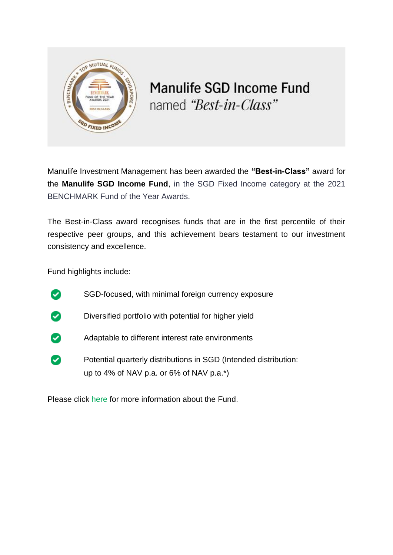

## **Manulife SGD Income Fund** named "Best-in-Class"

Manulife Investment Management has been awarded the **"Best-in-Class"** award for the **Manulife SGD Income Fund**, in the SGD Fixed Income category at the 2021 BENCHMARK Fund of the Year Awards.

The Best-in-Class award recognises funds that are in the first percentile of their respective peer groups, and this achievement bears testament to our investment consistency and excellence.

Fund highlights include:

- $\bullet$ SGD-focused, with minimal foreign currency exposure
- Diversified portfolio with potential for higher yield  $\boldsymbol{\omega}$
- $\boldsymbol{\omega}$ Adaptable to different interest rate environments
- $\boldsymbol{\omega}$ Potential quarterly distributions in SGD (Intended distribution: up to 4% of NAV p.a. or 6% of NAV p.a.\*)

Please click [here](https://income.manulifeam.com.sg/en/sgd-income.html) for more information about the Fund.